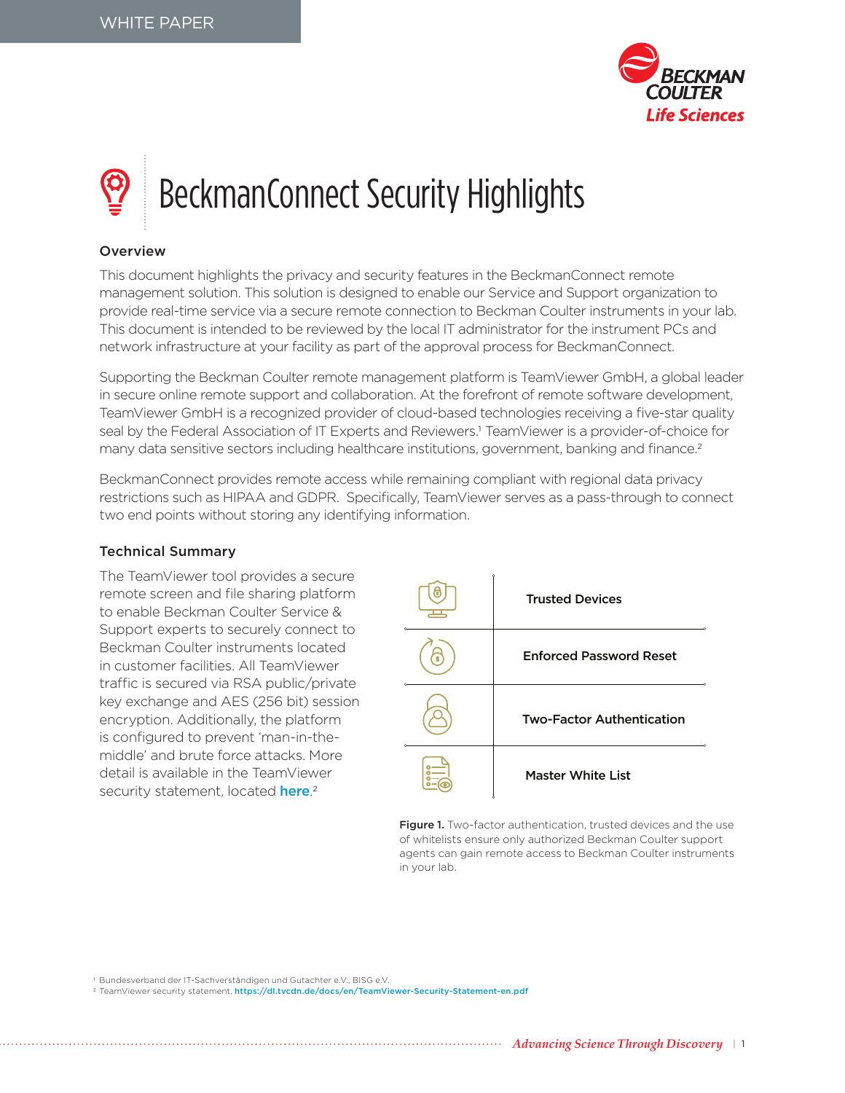

# BeckmanConnect Security Highlights

## Overview

This document highlights the privacy and security features in the BeckmanConnect remote management solution. This solution is designed to enable our Service and Support organization to provide real-time service via a secure remote connection to Beckman Coulter instruments in your lab. This document is intended to be reviewed by the local IT administrator for the instrument PCs and network infrastructure at your facility as part of the approval process for BeckmanConnect.

Supporting the Beckman Coulter remote management platform is TeamViewer GmbH, a global leader in secure online remote support and collaboration. At the forefront of remote software development, TeamViewer GmbH is a recognized provider of cloud-based technologies receiving a five-star quality seal by the Federal Association of IT Experts and Reviewers.<sup>1</sup> TeamViewer is a provider-of-choice for many data sensitive sectors including healthcare institutions, government, banking and finance.<sup>2</sup>

BeckmanConnect provides remote access while remaining compliant with regional data privacy restrictions such as HIPAA and GDPR. Specifically, TeamViewer serves as a pass-through to connect two end points without storing any identifying information.

### Technical Summary

The TeamViewer tool provides a secure remote screen and file sharing platform to enable Beckman Coulter Service & Support experts to securely connect to Beckman Coulter instruments located in customer facilities. All TeamViewer traffic is secured via RSA public/private key exchange and AES (256 bit) session encryption. Additionally, the platform is configured to prevent 'man-in-themiddle' and brute force attacks. More detail is available in the TeamViewer security statement, located [here](https://dl.tvcdn.de/docs/en/TeamViewer-Security-Statement-en.pdf).<sup>2</sup>



Figure 1. Two-factor authentication, trusted devices and the use of whitelists ensure only authorized Beckman Coulter support agents can gain remote access to Beckman Coulter instruments in your lab.

Bundesverband der IT-Sachverständigen und Gutachter e.V., BISG e.V. 1

2 TeamViewer security statement, **https://dl.tvcdn.de/docs/en/TeamViewer-Security-Statement-en.pdf**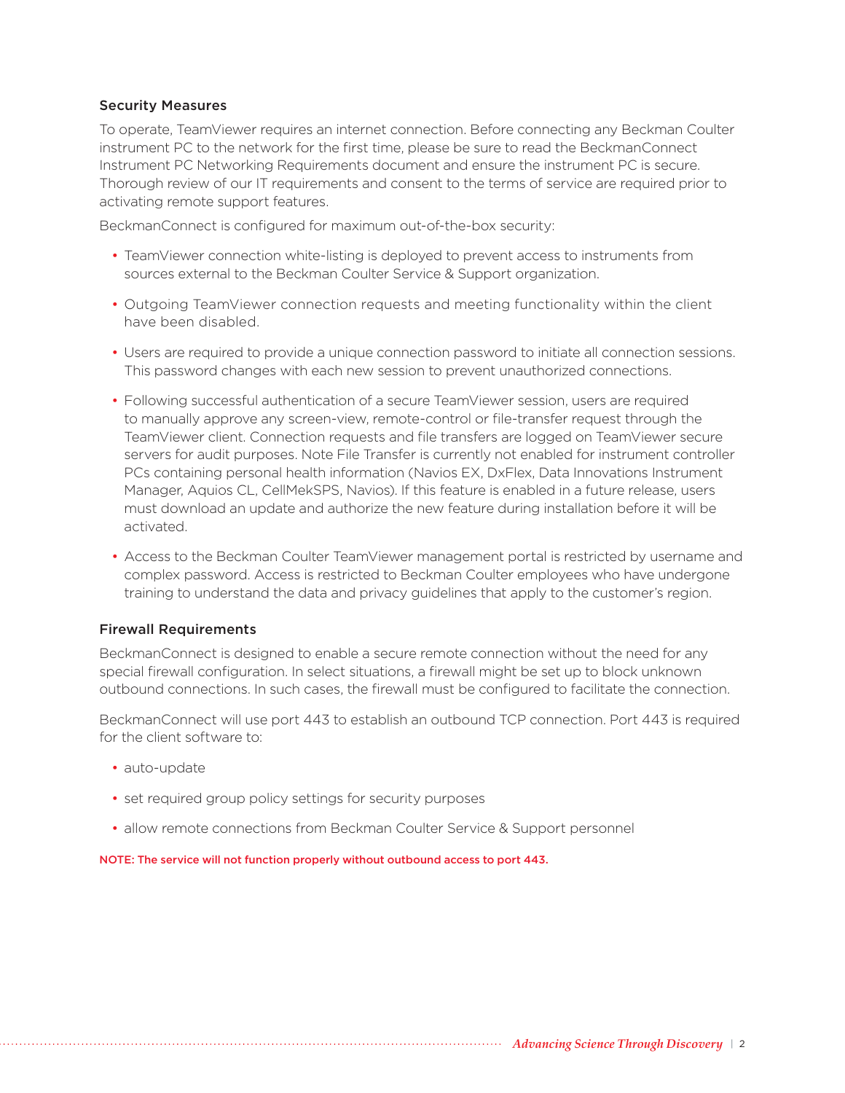## Security Measures

To operate, TeamViewer requires an internet connection. Before connecting any Beckman Coulter instrument PC to the network for the first time, please be sure to read the BeckmanConnect Instrument PC Networking Requirements document and ensure the instrument PC is secure. Thorough review of our IT requirements and consent to the terms of service are required prior to activating remote support features.

BeckmanConnect is configured for maximum out-of-the-box security:

- TeamViewer connection white-listing is deployed to prevent access to instruments from sources external to the Beckman Coulter Service & Support organization.
- Outgoing TeamViewer connection requests and meeting functionality within the client have been disabled.
- Users are required to provide a unique connection password to initiate all connection sessions. This password changes with each new session to prevent unauthorized connections.
- Following successful authentication of a secure TeamViewer session, users are required to manually approve any screen-view, remote-control or file-transfer request through the TeamViewer client. Connection requests and file transfers are logged on TeamViewer secure servers for audit purposes. Note File Transfer is currently not enabled for instrument controller PCs containing personal health information (Navios EX, DxFlex, Data Innovations Instrument Manager, Aquios CL, CellMekSPS, Navios). If this feature is enabled in a future release, users must download an update and authorize the new feature during installation before it will be activated.
- Access to the Beckman Coulter TeamViewer management portal is restricted by username and complex password. Access is restricted to Beckman Coulter employees who have undergone training to understand the data and privacy guidelines that apply to the customer's region.

## Firewall Requirements

BeckmanConnect is designed to enable a secure remote connection without the need for any special firewall configuration. In select situations, a firewall might be set up to block unknown outbound connections. In such cases, the firewall must be configured to facilitate the connection.

BeckmanConnect will use port 443 to establish an outbound TCP connection. Port 443 is required for the client software to:

- auto-update
- set required group policy settings for security purposes
- allow remote connections from Beckman Coulter Service & Support personnel

NOTE: The service will not function properly without outbound access to port 443.